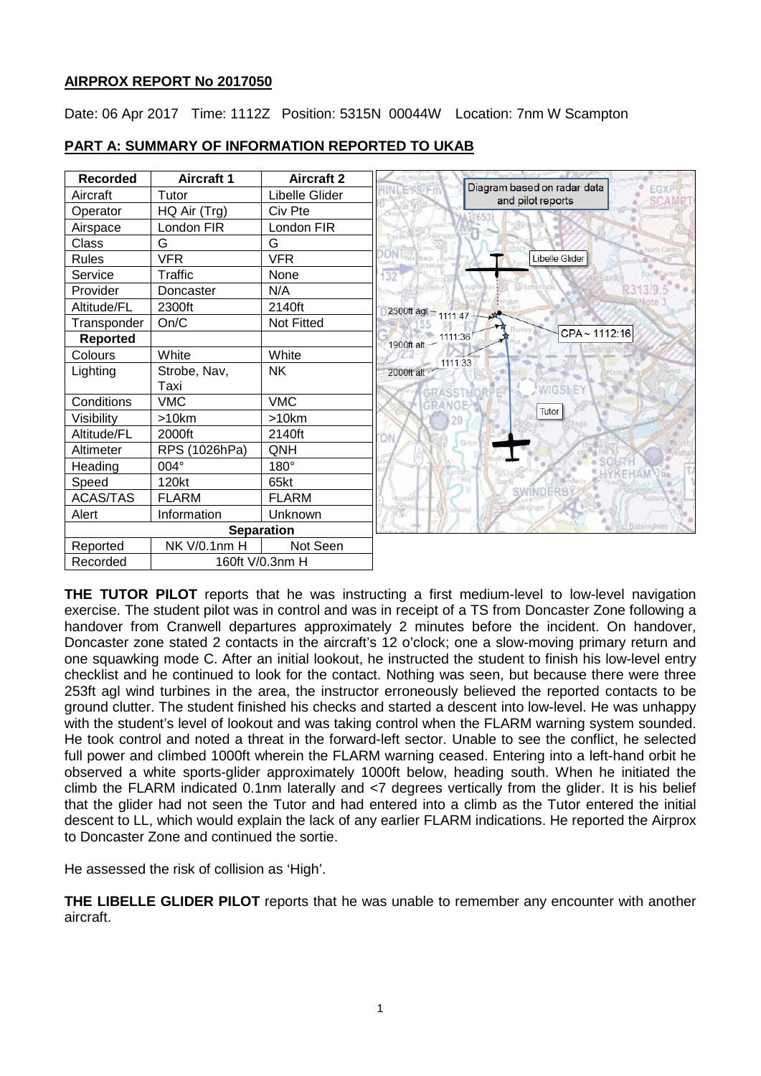# **AIRPROX REPORT No 2017050**

Date: 06 Apr 2017 Time: 1112Z Position: 5315N 00044W Location: 7nm W Scampton



# **PART A: SUMMARY OF INFORMATION REPORTED TO UKAB**

**THE TUTOR PILOT** reports that he was instructing a first medium-level to low-level navigation exercise. The student pilot was in control and was in receipt of a TS from Doncaster Zone following a handover from Cranwell departures approximately 2 minutes before the incident. On handover, Doncaster zone stated 2 contacts in the aircraft's 12 o'clock; one a slow-moving primary return and one squawking mode C. After an initial lookout, he instructed the student to finish his low-level entry checklist and he continued to look for the contact. Nothing was seen, but because there were three 253ft agl wind turbines in the area, the instructor erroneously believed the reported contacts to be ground clutter. The student finished his checks and started a descent into low-level. He was unhappy with the student's level of lookout and was taking control when the FLARM warning system sounded. He took control and noted a threat in the forward-left sector. Unable to see the conflict, he selected full power and climbed 1000ft wherein the FLARM warning ceased. Entering into a left-hand orbit he observed a white sports-glider approximately 1000ft below, heading south. When he initiated the climb the FLARM indicated 0.1nm laterally and <7 degrees vertically from the glider. It is his belief that the glider had not seen the Tutor and had entered into a climb as the Tutor entered the initial descent to LL, which would explain the lack of any earlier FLARM indications. He reported the Airprox to Doncaster Zone and continued the sortie.

He assessed the risk of collision as 'High'.

**THE LIBELLE GLIDER PILOT** reports that he was unable to remember any encounter with another aircraft.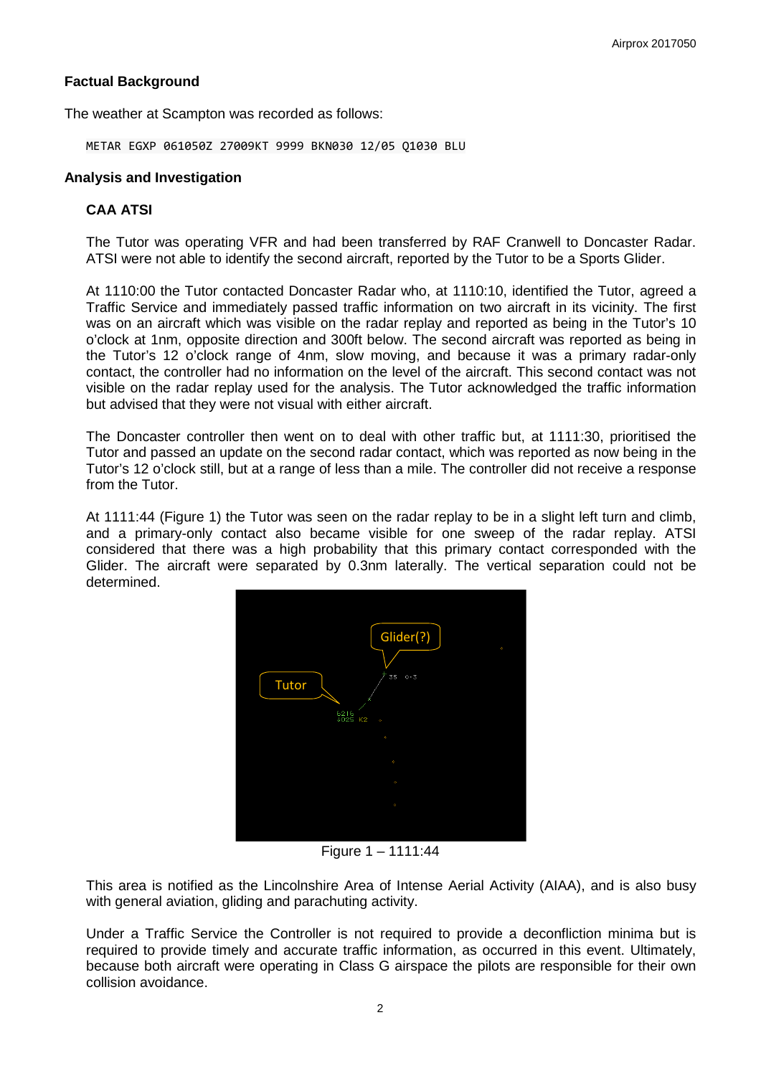# **Factual Background**

The weather at Scampton was recorded as follows:

METAR EGXP 061050Z 27009KT 9999 BKN030 12/05 Q1030 BLU

## **Analysis and Investigation**

## **CAA ATSI**

The Tutor was operating VFR and had been transferred by RAF Cranwell to Doncaster Radar. ATSI were not able to identify the second aircraft, reported by the Tutor to be a Sports Glider.

At 1110:00 the Tutor contacted Doncaster Radar who, at 1110:10, identified the Tutor, agreed a Traffic Service and immediately passed traffic information on two aircraft in its vicinity. The first was on an aircraft which was visible on the radar replay and reported as being in the Tutor's 10 o'clock at 1nm, opposite direction and 300ft below. The second aircraft was reported as being in the Tutor's 12 o'clock range of 4nm, slow moving, and because it was a primary radar-only contact, the controller had no information on the level of the aircraft. This second contact was not visible on the radar replay used for the analysis. The Tutor acknowledged the traffic information but advised that they were not visual with either aircraft.

The Doncaster controller then went on to deal with other traffic but, at 1111:30, prioritised the Tutor and passed an update on the second radar contact, which was reported as now being in the Tutor's 12 o'clock still, but at a range of less than a mile. The controller did not receive a response from the Tutor.

At 1111:44 (Figure 1) the Tutor was seen on the radar replay to be in a slight left turn and climb, and a primary-only contact also became visible for one sweep of the radar replay. ATSI considered that there was a high probability that this primary contact corresponded with the Glider. The aircraft were separated by 0.3nm laterally. The vertical separation could not be determined.



Figure 1 – 1111:44

This area is notified as the Lincolnshire Area of Intense Aerial Activity (AIAA), and is also busy with general aviation, gliding and parachuting activity.

Under a Traffic Service the Controller is not required to provide a deconfliction minima but is required to provide timely and accurate traffic information, as occurred in this event. Ultimately, because both aircraft were operating in Class G airspace the pilots are responsible for their own collision avoidance.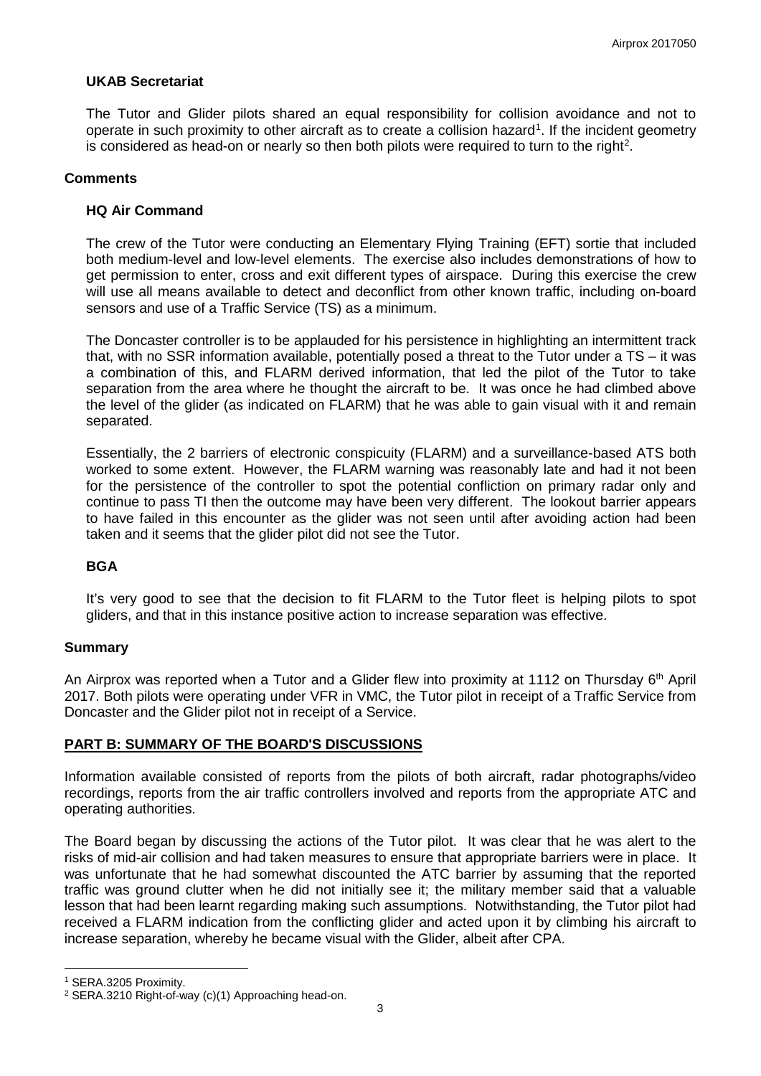### **UKAB Secretariat**

The Tutor and Glider pilots shared an equal responsibility for collision avoidance and not to operate in such proximity to other aircraft as to create a collision hazard<sup>[1](#page-2-0)</sup>. If the incident geometry is considered as head-on or nearly so then both pilots were required to turn to the right<sup>[2](#page-2-1)</sup>.

#### **Comments**

### **HQ Air Command**

The crew of the Tutor were conducting an Elementary Flying Training (EFT) sortie that included both medium-level and low-level elements. The exercise also includes demonstrations of how to get permission to enter, cross and exit different types of airspace. During this exercise the crew will use all means available to detect and deconflict from other known traffic, including on-board sensors and use of a Traffic Service (TS) as a minimum.

The Doncaster controller is to be applauded for his persistence in highlighting an intermittent track that, with no SSR information available, potentially posed a threat to the Tutor under a TS – it was a combination of this, and FLARM derived information, that led the pilot of the Tutor to take separation from the area where he thought the aircraft to be. It was once he had climbed above the level of the glider (as indicated on FLARM) that he was able to gain visual with it and remain separated.

Essentially, the 2 barriers of electronic conspicuity (FLARM) and a surveillance-based ATS both worked to some extent. However, the FLARM warning was reasonably late and had it not been for the persistence of the controller to spot the potential confliction on primary radar only and continue to pass TI then the outcome may have been very different. The lookout barrier appears to have failed in this encounter as the glider was not seen until after avoiding action had been taken and it seems that the glider pilot did not see the Tutor.

#### **BGA**

It's very good to see that the decision to fit FLARM to the Tutor fleet is helping pilots to spot gliders, and that in this instance positive action to increase separation was effective.

#### **Summary**

An Airprox was reported when a Tutor and a Glider flew into proximity at 1112 on Thursday  $6<sup>th</sup>$  April 2017. Both pilots were operating under VFR in VMC, the Tutor pilot in receipt of a Traffic Service from Doncaster and the Glider pilot not in receipt of a Service.

## **PART B: SUMMARY OF THE BOARD'S DISCUSSIONS**

Information available consisted of reports from the pilots of both aircraft, radar photographs/video recordings, reports from the air traffic controllers involved and reports from the appropriate ATC and operating authorities.

The Board began by discussing the actions of the Tutor pilot. It was clear that he was alert to the risks of mid-air collision and had taken measures to ensure that appropriate barriers were in place. It was unfortunate that he had somewhat discounted the ATC barrier by assuming that the reported traffic was ground clutter when he did not initially see it; the military member said that a valuable lesson that had been learnt regarding making such assumptions. Notwithstanding, the Tutor pilot had received a FLARM indication from the conflicting glider and acted upon it by climbing his aircraft to increase separation, whereby he became visual with the Glider, albeit after CPA.

l

<span id="page-2-0"></span><sup>1</sup> SERA.3205 Proximity.

<span id="page-2-1"></span><sup>2</sup> SERA.3210 Right-of-way (c)(1) Approaching head-on.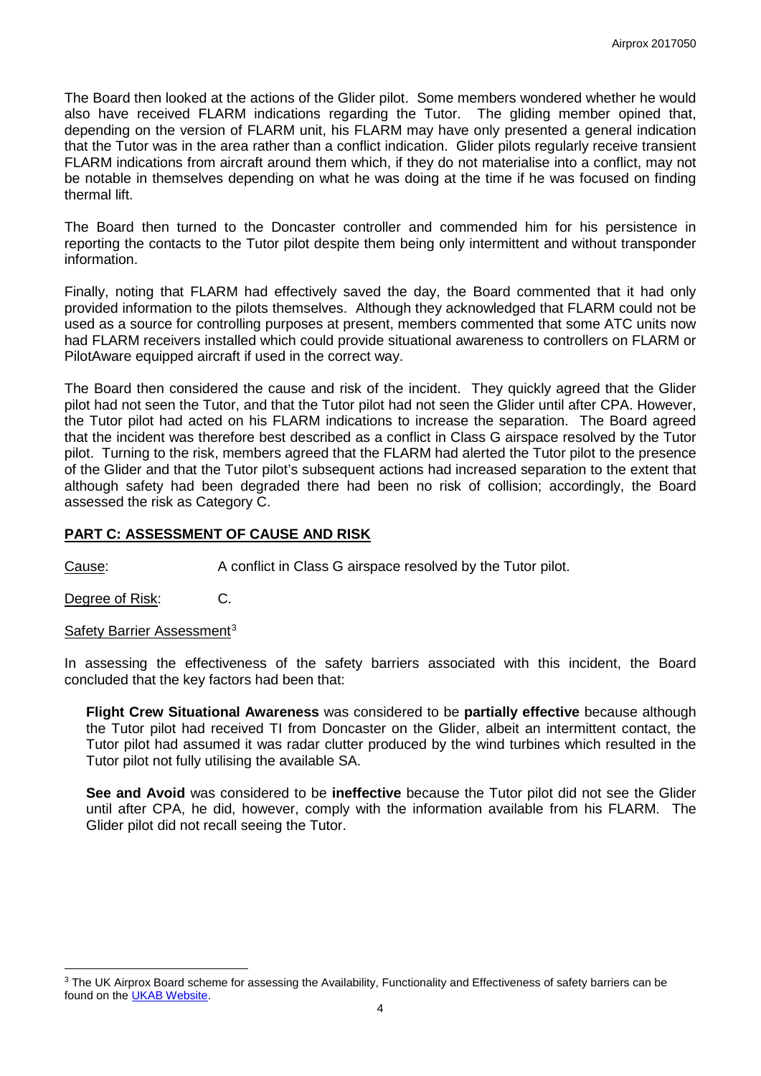The Board then looked at the actions of the Glider pilot. Some members wondered whether he would also have received FLARM indications regarding the Tutor. The gliding member opined that, depending on the version of FLARM unit, his FLARM may have only presented a general indication that the Tutor was in the area rather than a conflict indication. Glider pilots regularly receive transient FLARM indications from aircraft around them which, if they do not materialise into a conflict, may not be notable in themselves depending on what he was doing at the time if he was focused on finding thermal lift.

The Board then turned to the Doncaster controller and commended him for his persistence in reporting the contacts to the Tutor pilot despite them being only intermittent and without transponder information.

Finally, noting that FLARM had effectively saved the day, the Board commented that it had only provided information to the pilots themselves. Although they acknowledged that FLARM could not be used as a source for controlling purposes at present, members commented that some ATC units now had FLARM receivers installed which could provide situational awareness to controllers on FLARM or PilotAware equipped aircraft if used in the correct way.

The Board then considered the cause and risk of the incident. They quickly agreed that the Glider pilot had not seen the Tutor, and that the Tutor pilot had not seen the Glider until after CPA. However, the Tutor pilot had acted on his FLARM indications to increase the separation. The Board agreed that the incident was therefore best described as a conflict in Class G airspace resolved by the Tutor pilot. Turning to the risk, members agreed that the FLARM had alerted the Tutor pilot to the presence of the Glider and that the Tutor pilot's subsequent actions had increased separation to the extent that although safety had been degraded there had been no risk of collision; accordingly, the Board assessed the risk as Category C.

# **PART C: ASSESSMENT OF CAUSE AND RISK**

Cause: A conflict in Class G airspace resolved by the Tutor pilot.

Degree of Risk: C.

Safety Barrier Assessment<sup>[3](#page-3-0)</sup>

l

In assessing the effectiveness of the safety barriers associated with this incident, the Board concluded that the key factors had been that:

**Flight Crew Situational Awareness** was considered to be **partially effective** because although the Tutor pilot had received TI from Doncaster on the Glider, albeit an intermittent contact, the Tutor pilot had assumed it was radar clutter produced by the wind turbines which resulted in the Tutor pilot not fully utilising the available SA.

**See and Avoid** was considered to be **ineffective** because the Tutor pilot did not see the Glider until after CPA, he did, however, comply with the information available from his FLARM. The Glider pilot did not recall seeing the Tutor.

<span id="page-3-0"></span><sup>&</sup>lt;sup>3</sup> The UK Airprox Board scheme for assessing the Availability, Functionality and Effectiveness of safety barriers can be found on the [UKAB Website.](http://www.airproxboard.org.uk/Learn-more/Airprox-Barrier-Assessment/)